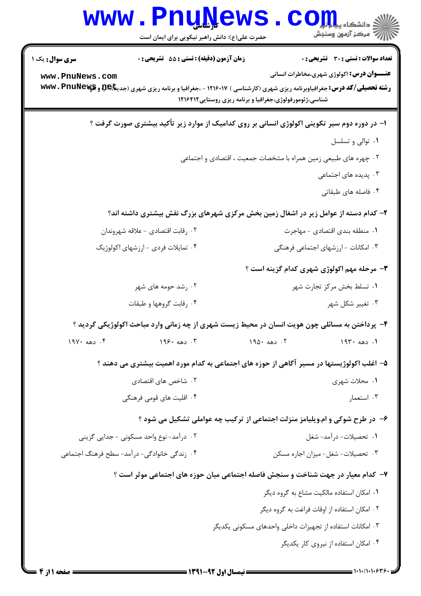|                                                                                              | <b>www.PnuNews</b><br>حضرت علی(ع): دانش راهبر نیکویی برای ایمان است                                                     |                                                          | رآ مرڪز آزمون وسنڊش                                       |  |  |
|----------------------------------------------------------------------------------------------|-------------------------------------------------------------------------------------------------------------------------|----------------------------------------------------------|-----------------------------------------------------------|--|--|
| <b>سری سوال :</b> یک ۱                                                                       | زمان آزمون (دقیقه) : تستی : 55 آتشریحی : 0                                                                              |                                                          | تعداد سوالات : تستي : 30 ٪ تشريحي : 0                     |  |  |
| www.PnuNews.com                                                                              | <b>رشته تحصیلی/کد درس:</b> جغرافیاوبرنامه ریزی شهری (کارشناسی ) ۱۲۱۶۰۱۷ - ،جغرافیا و برنامه ریزی شهری (جدیته به به پیچه | شناسی،ژئومورفولوژی،جغرافیا و برنامه ریزی روستایی ۱۲۱۶۴۱۲ | <b>عنـــوان درس:</b> اکولوژی شهری،مخاطرات انسانی          |  |  |
| ۱– در دوره دوم سیر تکوینی اکولوژی انسانی بر روی کدامیک از موارد زیر تأکید بیشتری صورت گرفت ؟ |                                                                                                                         |                                                          |                                                           |  |  |
|                                                                                              | ۰۱ توالی و تسلسل                                                                                                        |                                                          |                                                           |  |  |
| ۰۲ چهره های طبیعی زمین همراه با مشخصات جمعیت ، اقتصادی و اجتماعی                             |                                                                                                                         |                                                          |                                                           |  |  |
|                                                                                              | ۰۳ پدیده های اجتماعی                                                                                                    |                                                          |                                                           |  |  |
|                                                                                              |                                                                                                                         |                                                          | ۰۴ فاصله های طبقاتی                                       |  |  |
|                                                                                              | ۲- کدام دسته از عوامل زیر در اشغال زمین بخش مرکزی شهرهای بزرگ نقش بیشتری داشته اند؟                                     |                                                          |                                                           |  |  |
| ۰۲ رقابت اقتصادی – علاقه شهروندان                                                            |                                                                                                                         |                                                          | ٠١ منطقه بندى اقتصادى - مهاجرت                            |  |  |
|                                                                                              | ۰۴ تمایلات فردی - ارزشهای اکولوژیک                                                                                      | ۰۳ امکانات - ارزشهای اجتماعی فرهنگی                      |                                                           |  |  |
|                                                                                              |                                                                                                                         |                                                          | ۳- مرحله مهم اکولوژی شهری کدام گزینه است ؟                |  |  |
|                                                                                              | ۰۲ رشد حومه های شهر                                                                                                     |                                                          | ۰۱ تسلط بخش مرکز تجارت شهر                                |  |  |
| ۰۴ رقابت گروهها و طبقات                                                                      |                                                                                                                         | ۰۳ تغییر شکل شهر                                         |                                                           |  |  |
|                                                                                              | ۴- پرداختن به مسائلی چون هویت انسان در محیط زیست شهری از چه زمانی وارد مباحث اکولوژیکی گردید ؟                          |                                                          |                                                           |  |  |
| $19Y \cdot 480$ . ۴                                                                          | ۰۳ دهه ۱۹۶۰                                                                                                             | ۰۲ دهه ۱۹۵۰                                              | ١. دهه ١٩٣٠                                               |  |  |
|                                                                                              | ۵– اغلب اکولوژیستها در مسیر آگاهی از حوزه های اجتماعی به کدام مورد اهمیت بیشتری می دهند ؟                               |                                                          |                                                           |  |  |
|                                                                                              | ۰۲ شاخص های اقتصادی                                                                                                     | ۰۱ محلات شهری                                            |                                                           |  |  |
|                                                                                              | ۰۴ اقلیت های قومی فرهنگی                                                                                                | ۰۳ استعمار                                               |                                                           |  |  |
|                                                                                              | ۶- در طرح شوکی و ام.ویلیامز منزلت اجتماعی از ترکیب چه عواملی تشکیل می شود ؟                                             |                                                          |                                                           |  |  |
|                                                                                              | ۰۲ درآمد- نوع واحد مسکونی - جدایی گزینی                                                                                 |                                                          | ۰۱ تحصیلات- درآمد- شغل                                    |  |  |
| ۰۴ زندگی خانوادگی- درآمد- سطح فرهنگ اجتماعی                                                  |                                                                                                                         |                                                          | ٠٣ تحصيلات- شغل- ميزان اجاره مسكن                         |  |  |
|                                                                                              | ۷– کدام معیار در جهت شناخت و سنجش فاصله اجتماعی میان حوزه های اجتماعی موثر است ؟                                        |                                                          |                                                           |  |  |
|                                                                                              |                                                                                                                         |                                                          | ٠١ امكان استفاده مالكيت مشاع به گروه ديگر                 |  |  |
|                                                                                              |                                                                                                                         |                                                          | ۰۲ امکان استفاده از اوقات فراغت به گروه دیگر              |  |  |
|                                                                                              |                                                                                                                         |                                                          | ۰۳ امکانات استفاده از تجهیزات داخلی واحدهای مسکونی یکدیگر |  |  |
|                                                                                              |                                                                                                                         |                                                          | ۰۴ امکان استفاده از نیروی کار یکدیگر                      |  |  |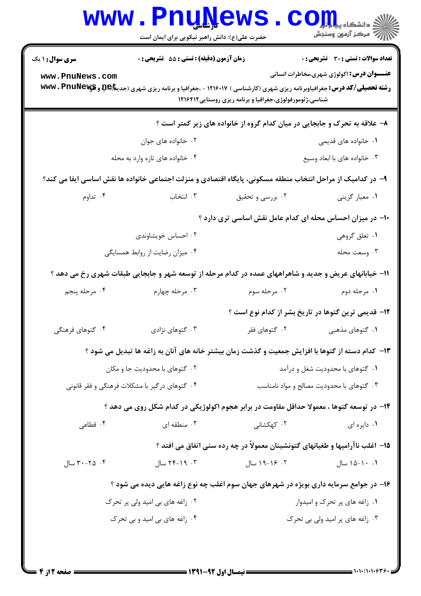|                                                                                                             | <b>www.PnuNews</b><br>حضرت علی(ع): دانش راهبر نیکویی برای ایمان است                                                                      |                                                          | الله دانشگاه پیاه ول<br>الله عرکز آزمون وسنجش                                 |  |  |
|-------------------------------------------------------------------------------------------------------------|------------------------------------------------------------------------------------------------------------------------------------------|----------------------------------------------------------|-------------------------------------------------------------------------------|--|--|
| <b>سری سوال : ۱ یک</b>                                                                                      | زمان آزمون (دقیقه) : تستی : 55 تشریحی : 0                                                                                                |                                                          | تعداد سوالات : تستى : 30 - تشريحي : 0                                         |  |  |
| www.PnuNews.com                                                                                             | <b>رشته تحصیلی/کد درس:</b> جغرافیاوبرنامه ریزی شهری (کارشناسی ) ۱۲۱۶۰۱۷ - ،جغرافیا و برنامه ریزی شهری (جدی <b>تا)QR و www . PnuNewys</b> | شناسی،ژئومورفولوژی،جغرافیا و برنامه ریزی روستایی ۱۲۱۶۴۱۲ | <b>عنـــوان درس:</b> اکولوژی شهری،مخاطرات انسانی                              |  |  |
| ۸– علاقه به تحرک و جابجایی در میان کدام گروه از خانواده های زیر کمتر است ؟                                  |                                                                                                                                          |                                                          |                                                                               |  |  |
|                                                                                                             | ۰۲ خانواده های جوان                                                                                                                      |                                                          | ۰۱ خانواده های قدیمی                                                          |  |  |
| ۰۴ خانواده های تازه وارد به محله                                                                            |                                                                                                                                          |                                                          | ۰۳ خانواده های با ابعاد وسیع                                                  |  |  |
| ۹– در کدامیک از مراحل انتخاب منطقه مسکونی، پایگاه اقتصادی و منزلت اجتماعی خانواده ها نقش اساسی ایفا می کند؟ |                                                                                                                                          |                                                          |                                                                               |  |  |
| ۰۴ تداوم                                                                                                    | ۰۳ انتخاب                                                                                                                                | ۰۲ بررسی و تحقیق                                         | ۰۱ معیار گزینی                                                                |  |  |
| ۱۰– در میزان احساس محله ای کدام عامل نقش اساسی تری دارد ؟                                                   |                                                                                                                                          |                                                          |                                                                               |  |  |
|                                                                                                             | ۰۲ احساس خویشاوندی                                                                                                                       |                                                          | ۰۱ تعلق گروهی                                                                 |  |  |
|                                                                                                             | ۰۴ میزان رضایت از روابط همسایگی                                                                                                          |                                                          | ۰۳ وسعت محله                                                                  |  |  |
|                                                                                                             | 11- خیابانهای عریض و جدید و شاهراههای عمده در کدام مرحله از توسعه شهر و جابجایی طبقات شهری رخ می دهد ؟                                   |                                                          |                                                                               |  |  |
| ۰۴ مرحله پنجم                                                                                               | ۰۳ مرحله چهارم                                                                                                                           | ۰۲ مرحله سوم                                             | ۰۱ مرحله دوم                                                                  |  |  |
|                                                                                                             |                                                                                                                                          |                                                          | ۱۲- قدیمی ترین گتوها در تاریخ بشر از کدام نوع است ؟                           |  |  |
| ۰۴ گتوهای فرهنگی                                                                                            | ۰۳ گتوهای نژادی                                                                                                                          | ۰۲ گتوهای فقر                                            | ۰۱ گتوهای مذهبی                                                               |  |  |
|                                                                                                             | ۱۳- کدام دسته از گتوها با افزایش جمعیت و گذشت زمان بیشتر خانه های آنان به زاغه ها تبدیل می شود ؟                                         |                                                          |                                                                               |  |  |
| ۰۲ گتوهای با محدودیت جا و مکان                                                                              |                                                                                                                                          |                                                          | ۰۱ گتوهای با محدودیت شغل و درآمد                                              |  |  |
| ۰۴ گتوهای درگیر با مشکلات فرهنگی و فقر قانونی                                                               |                                                                                                                                          |                                                          | ۰۳ گتوهای با محدودیت مصالح و مواد نامناسب                                     |  |  |
|                                                                                                             | ۱۴– در توسعه گتوها ، معمولا حداقل مقاومت در برابر هجوم اکولوژیکی در کدام شکل روی می دهد ؟                                                |                                                          |                                                                               |  |  |
| ۰۴ قطاعی                                                                                                    | ۰۳ منطقه ای                                                                                                                              | ۰۲ کهکشانی                                               | ۰۱ دایره ای                                                                   |  |  |
|                                                                                                             |                                                                                                                                          |                                                          | ۱۵– اغلب ناآرامیها و طغیانهای گتونشینان معمولاً در چه رده سنی اتفاق می افتد ؟ |  |  |
| ۰۴ ه-۳۰ سال                                                                                                 | ۰۳ - ۲۹-۲۴ سال                                                                                                                           | ۰۲ ۱۶–۱۹ سال                                             | ۰.۱-۱۵-۱ سال                                                                  |  |  |
| ۱۶– در جوامع سرمایه داری بویژه در شهرهای جهان سوم اغلب چه نوع زاغه هایی دیده می شود ؟                       |                                                                                                                                          |                                                          |                                                                               |  |  |
| ۰۲ زاغه های بی امید ولی پر تحرک                                                                             |                                                                                                                                          |                                                          | ۰۱ زاغه های پر تحرک و امیدوار                                                 |  |  |
|                                                                                                             | ۰۴ زاغه های بی امید و بی تحرک                                                                                                            |                                                          | ۰۳ زاغه های پر امید ولی بی تحرک                                               |  |  |
|                                                                                                             |                                                                                                                                          |                                                          |                                                                               |  |  |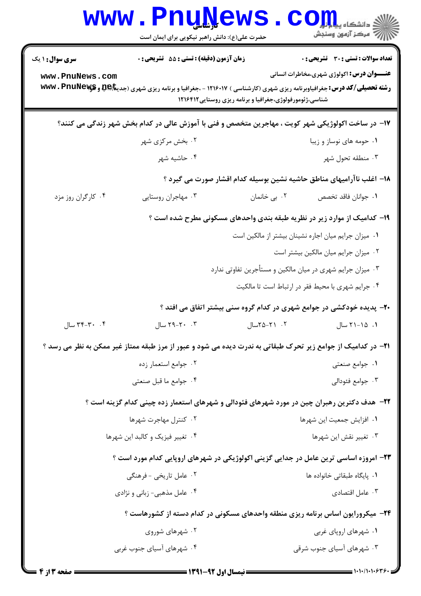|                                                                                                   | <b>www.PnuNews</b><br>حضرت علی(ع): دانش راهبر نیکویی برای ایمان است                                                                      |                                                            | ز دانشگاه پی <mark>اه</mark> ی<br>راز آمرڪز آزمون وسنڊش                  |  |
|---------------------------------------------------------------------------------------------------|------------------------------------------------------------------------------------------------------------------------------------------|------------------------------------------------------------|--------------------------------------------------------------------------|--|
| <b>سری سوال : ۱ یک</b>                                                                            | <b>زمان آزمون (دقیقه) : تستی : 55 تشریحی : 0</b>                                                                                         |                                                            | <b>تعداد سوالات : تستی : 30 ٪ تشریحی : 0</b>                             |  |
| www.PnuNews.com                                                                                   | <b>رشته تحصیلی/کد درس:</b> جغرافیاوبرنامه ریزی شهری (کارشناسی ) ۱۲۱۶۰۱۷ - ،جغرافیا و برنامه ریزی شهری (جدی <b>تا)QR و www . PnuNewys</b> | شناسی،ژئومورفولوژی،جغرافیا و برنامه ریزی روستایی ۱۲۱۶۴۱۲   | <b>عنـــوان درس:</b> اکولوژی شهری،مخاطرات انسانی                         |  |
| ۱۷- در ساخت اکولوژیکی شهر کویت ، مهاجرین متخصص و فنی با آموزش عالی در کدام بخش شهر زندگی می کنند؟ |                                                                                                                                          |                                                            |                                                                          |  |
|                                                                                                   | ۰۲ بخش مرکزی شهر                                                                                                                         |                                                            | ۰۱ حومه های نوساز و زیبا                                                 |  |
|                                                                                                   | ۰۴ حاشیه شهر                                                                                                                             |                                                            | ۰۳ منطقه تحول شهر                                                        |  |
|                                                                                                   |                                                                                                                                          |                                                            | ۱۸– اغلب ناآرامیهای مناطق حاشیه نشین بوسیله کدام اقشار صورت می گیرد ؟    |  |
| ۰۴ کارگران روز مزد                                                                                | ۰۳ مهاجران روستایی                                                                                                                       | ۰۲ بی خانمان                                               | ٠١ جوانان فاقد تخصص                                                      |  |
|                                                                                                   |                                                                                                                                          |                                                            | ۱۹- کدامیک از موارد زیر در نظریه طبقه بندی واحدهای مسکونی مطرح شده است ؟ |  |
|                                                                                                   |                                                                                                                                          | ٠١ ميزان جرايم ميان اجاره نشينان بيشتر از مالكين است       |                                                                          |  |
|                                                                                                   |                                                                                                                                          |                                                            | ٠٢ ميزان جرايم ميان مالكين بيشتر است                                     |  |
|                                                                                                   |                                                                                                                                          | ۰۳ میزان جرایم شهری در میان مالکین و مستأجرین تفاوتی ندارد |                                                                          |  |
|                                                                                                   |                                                                                                                                          |                                                            | ۰۴ جرایم شهری با محیط فقر در ارتباط است تا مالکیت                        |  |
|                                                                                                   |                                                                                                                                          |                                                            | +۲- پدیده خودکشی در جوامع شهری در کدام گروه سنی بیشتر اتفاق می افتد ؟    |  |
| ۰۴ - ۳۴-۳۴ سال                                                                                    | ٠. ٢٠-٢٩ سال                                                                                                                             | ۰۲ - ۲۵-۲۵سال                                              | ۰۱ - ۲۱-۲۱ سال                                                           |  |
|                                                                                                   | ۲۱– در کدامیک از جوامع زیر تحرک طبقاتی به ندرت دیده می شود و عبور از مرز طبقه ممتاز غیر ممکن به نظر می رسد ؟                             |                                                            |                                                                          |  |
|                                                                                                   | ۰۲ جوامع استعمار زده                                                                                                                     |                                                            | ۰۱ جوامع صنعتی                                                           |  |
|                                                                                                   | ۰۴ جوامع ما قبل صنعتی                                                                                                                    |                                                            | ۰۳ جوامع فئودالي                                                         |  |
|                                                                                                   | ۲۲– هدف دکترین رهبران چین در مورد شهرهای فئودالی و شهرهای استعمار زده چینی کدام گزینه است ؟                                              |                                                            |                                                                          |  |
|                                                                                                   | ۰۲ کنترل مهاجرت شهرها                                                                                                                    |                                                            | ٠١. افزايش جمعيت اين شهرها                                               |  |
|                                                                                                   | ۰۴ تغییر فیزیک و کالبد این شهرها                                                                                                         | ۰۳ تغيير نقش اين شهرها                                     |                                                                          |  |
|                                                                                                   | ۲۳- امروزه اساسی ترین عامل در جدایی گزینی اکولوژیکی در شهرهای اروپایی کدام مورد است ؟                                                    |                                                            |                                                                          |  |
|                                                                                                   | ۰۲ عامل تاریخی - فرهنگی                                                                                                                  |                                                            | ۰۱ پایگاه طبقاتی خانواده ها                                              |  |
|                                                                                                   | ۰۴ عامل مذهبی- زبانی و نژادی                                                                                                             |                                                            | ۰۳ عامل اقتصادی                                                          |  |
|                                                                                                   | ۲۴- میکرورایون اساس برنامه ریزی منطقه واحدهای مسکونی در کدام دسته از کشورهاست ؟                                                          |                                                            |                                                                          |  |
|                                                                                                   | ۰۲ شهرهای شوروی                                                                                                                          |                                                            | ۰۱ شهرهای اروپای غربی                                                    |  |
|                                                                                                   | ۰۴ شهرهای آسیای جنوب غربی                                                                                                                |                                                            | ۰۳ شهرهای آسیای جنوب شرقی                                                |  |
|                                                                                                   |                                                                                                                                          |                                                            |                                                                          |  |